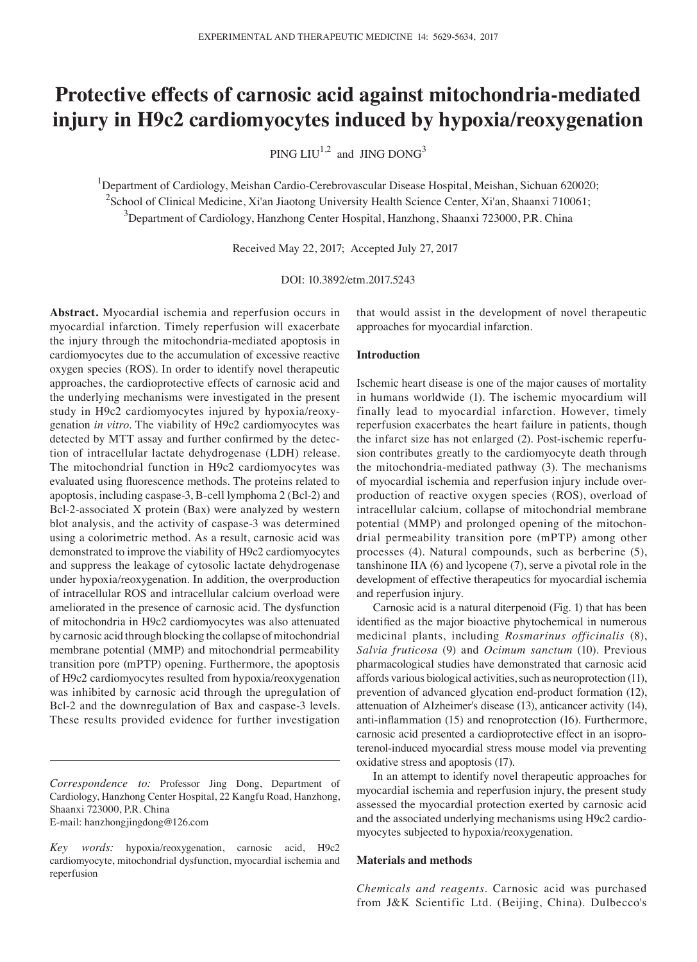# **Protective effects of carnosic acid against mitochondria‑mediated injury in H9c2 cardiomyocytes induced by hypoxia/reoxygenation**

PING  $LIU^{1,2}$  and JING DONG<sup>3</sup>

<sup>1</sup>Department of Cardiology, Meishan Cardio-Cerebrovascular Disease Hospital, Meishan, Sichuan 620020; <sup>2</sup>School of Clinical Medicine, Xi'an Jiaotong University Health Science Center, Xi'an, Shaanxi 710061; 3 Department of Cardiology, Hanzhong Center Hospital, Hanzhong, Shaanxi 723000, P.R. China

Received May 22, 2017; Accepted July 27, 2017

DOI: 10.3892/etm.2017.5243

**Abstract.** Myocardial ischemia and reperfusion occurs in myocardial infarction. Timely reperfusion will exacerbate the injury through the mitochondria-mediated apoptosis in cardiomyocytes due to the accumulation of excessive reactive oxygen species (ROS). In order to identify novel therapeutic approaches, the cardioprotective effects of carnosic acid and the underlying mechanisms were investigated in the present study in H9c2 cardiomyocytes injured by hypoxia/reoxygenation *in vitro*. The viability of H9c2 cardiomyocytes was detected by MTT assay and further confirmed by the detection of intracellular lactate dehydrogenase (LDH) release. The mitochondrial function in H9c2 cardiomyocytes was evaluated using fluorescence methods. The proteins related to apoptosis, including caspase-3, B-cell lymphoma 2 (Bcl-2) and Bcl-2-associated X protein (Bax) were analyzed by western blot analysis, and the activity of caspase-3 was determined using a colorimetric method. As a result, carnosic acid was demonstrated to improve the viability of H9c2 cardiomyocytes and suppress the leakage of cytosolic lactate dehydrogenase under hypoxia/reoxygenation. In addition, the overproduction of intracellular ROS and intracellular calcium overload were ameliorated in the presence of carnosic acid. The dysfunction of mitochondria in H9c2 cardiomyocytes was also attenuated by carnosic acid through blocking the collapse of mitochondrial membrane potential (MMP) and mitochondrial permeability transition pore (mPTP) opening. Furthermore, the apoptosis of H9c2 cardiomyocytes resulted from hypoxia/reoxygenation was inhibited by carnosic acid through the upregulation of Bcl-2 and the downregulation of Bax and caspase-3 levels. These results provided evidence for further investigation

that would assist in the development of novel therapeutic approaches for myocardial infarction.

#### **Introduction**

Ischemic heart disease is one of the major causes of mortality in humans worldwide (1). The ischemic myocardium will finally lead to myocardial infarction. However, timely reperfusion exacerbates the heart failure in patients, though the infarct size has not enlarged (2). Post-ischemic reperfusion contributes greatly to the cardiomyocyte death through the mitochondria-mediated pathway (3). The mechanisms of myocardial ischemia and reperfusion injury include overproduction of reactive oxygen species (ROS), overload of intracellular calcium, collapse of mitochondrial membrane potential (MMP) and prolonged opening of the mitochondrial permeability transition pore (mPTP) among other processes (4). Natural compounds, such as berberine (5), tanshinone IIA (6) and lycopene (7), serve a pivotal role in the development of effective therapeutics for myocardial ischemia and reperfusion injury.

Carnosic acid is a natural diterpenoid (Fig. 1) that has been identified as the major bioactive phytochemical in numerous medicinal plants, including *Rosmarinus officinalis* (8), *Salvia fruticosa* (9) and *Ocimum sanctum* (10). Previous pharmacological studies have demonstrated that carnosic acid affords various biological activities, such as neuroprotection (11), prevention of advanced glycation end-product formation (12), attenuation of Alzheimer's disease (13), anticancer activity (14), anti-inflammation (15) and renoprotection (16). Furthermore, carnosic acid presented a cardioprotective effect in an isoproterenol-induced myocardial stress mouse model via preventing oxidative stress and apoptosis (17).

In an attempt to identify novel therapeutic approaches for myocardial ischemia and reperfusion injury, the present study assessed the myocardial protection exerted by carnosic acid and the associated underlying mechanisms using H9c2 cardiomyocytes subjected to hypoxia/reoxygenation.

#### **Materials and methods**

*Chemicals and reagents.* Carnosic acid was purchased from J&K Scientific Ltd. (Beijing, China). Dulbecco's

*Correspondence to:* Professor Jing Dong, Department of Cardiology, Hanzhong Center Hospital, 22 Kangfu Road, Hanzhong, Shaanxi 723000, P.R. China E-mail: hanzhongjingdong@126.com

*Key words:* hypoxia/reoxygenation, carnosic acid, H9c2 cardiomyocyte, mitochondrial dysfunction, myocardial ischemia and reperfusion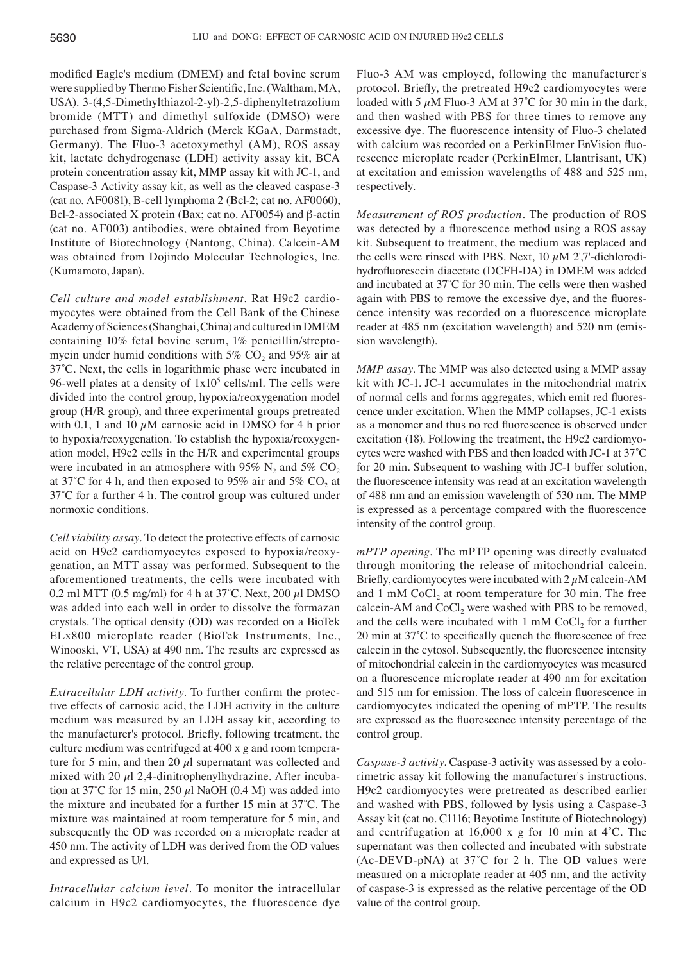modified Eagle's medium (DMEM) and fetal bovine serum were supplied by Thermo Fisher Scientific, Inc. (Waltham, MA, USA). 3-(4,5-Dimethylthiazol-2-yl)-2,5-diphenyltetrazolium bromide (MTT) and dimethyl sulfoxide (DMSO) were purchased from Sigma-Aldrich (Merck KGaA, Darmstadt, Germany). The Fluo-3 acetoxymethyl (AM), ROS assay kit, lactate dehydrogenase (LDH) activity assay kit, BCA protein concentration assay kit, MMP assay kit with JC-1, and Caspase-3 Activity assay kit, as well as the cleaved caspase-3 (cat no. AF0081), B-cell lymphoma 2 (Bcl-2; cat no. AF0060), Bcl-2-associated X protein (Bax; cat no. AF0054) and β-actin (cat no. AF003) antibodies, were obtained from Beyotime Institute of Biotechnology (Nantong, China). Calcein-AM was obtained from Dojindo Molecular Technologies, Inc. (Kumamoto, Japan).

*Cell culture and model establishment.* Rat H9c2 cardiomyocytes were obtained from the Cell Bank of the Chinese Academy of Sciences (Shanghai, China) and cultured in DMEM containing 10% fetal bovine serum, 1% penicillin/streptomycin under humid conditions with  $5\%$  CO<sub>2</sub> and  $95\%$  air at 37˚C. Next, the cells in logarithmic phase were incubated in 96-well plates at a density of  $1x10<sup>5</sup>$  cells/ml. The cells were divided into the control group, hypoxia/reoxygenation model group (H/R group), and three experimental groups pretreated with 0.1, 1 and 10  $\mu$ M carnosic acid in DMSO for 4 h prior to hypoxia/reoxygenation. To establish the hypoxia/reoxygenation model, H9c2 cells in the H/R and experimental groups were incubated in an atmosphere with 95% N<sub>2</sub> and 5% CO<sub>2</sub> at 37°C for 4 h, and then exposed to 95% air and 5%  $CO<sub>2</sub>$  at 37˚C for a further 4 h. The control group was cultured under normoxic conditions.

*Cell viability assay.* To detect the protective effects of carnosic acid on H9c2 cardiomyocytes exposed to hypoxia/reoxygenation, an MTT assay was performed. Subsequent to the aforementioned treatments, the cells were incubated with 0.2 ml MTT (0.5 mg/ml) for 4 h at  $37^{\circ}$ C. Next, 200  $\mu$ l DMSO was added into each well in order to dissolve the formazan crystals. The optical density (OD) was recorded on a BioTek ELx800 microplate reader (BioTek Instruments, Inc., Winooski, VT, USA) at 490 nm. The results are expressed as the relative percentage of the control group.

*Extracellular LDH activity.* To further confirm the protective effects of carnosic acid, the LDH activity in the culture medium was measured by an LDH assay kit, according to the manufacturer's protocol. Briefly, following treatment, the culture medium was centrifuged at 400 x g and room temperature for 5 min, and then 20  $\mu$ l supernatant was collected and mixed with 20  $\mu$ l 2,4-dinitrophenylhydrazine. After incubation at 37°C for 15 min, 250  $\mu$ l NaOH (0.4 M) was added into the mixture and incubated for a further 15 min at 37˚C. The mixture was maintained at room temperature for 5 min, and subsequently the OD was recorded on a microplate reader at 450 nm. The activity of LDH was derived from the OD values and expressed as U/l.

*Intracellular calcium level.* To monitor the intracellular calcium in H9c2 cardiomyocytes, the fluorescence dye Fluo-3 AM was employed, following the manufacturer's protocol. Briefly, the pretreated H9c2 cardiomyocytes were loaded with 5  $\mu$ M Fluo-3 AM at 37°C for 30 min in the dark, and then washed with PBS for three times to remove any excessive dye. The fluorescence intensity of Fluo-3 chelated with calcium was recorded on a PerkinElmer EnVision fluorescence microplate reader (PerkinElmer, Llantrisant, UK) at excitation and emission wavelengths of 488 and 525 nm, respectively.

*Measurement of ROS production.* The production of ROS was detected by a fluorescence method using a ROS assay kit. Subsequent to treatment, the medium was replaced and the cells were rinsed with PBS. Next,  $10 \mu M$  2',7'-dichlorodihydrofluorescein diacetate (DCFH‑DA) in DMEM was added and incubated at 37˚C for 30 min. The cells were then washed again with PBS to remove the excessive dye, and the fluorescence intensity was recorded on a fluorescence microplate reader at 485 nm (excitation wavelength) and 520 nm (emission wavelength).

*MMP assay.* The MMP was also detected using a MMP assay kit with JC-1. JC-1 accumulates in the mitochondrial matrix of normal cells and forms aggregates, which emit red fluorescence under excitation. When the MMP collapses, JC‑1 exists as a monomer and thus no red fluorescence is observed under excitation (18). Following the treatment, the H9c2 cardiomyocytes were washed with PBS and then loaded with JC‑1 at 37˚C for 20 min. Subsequent to washing with JC-1 buffer solution, the fluorescence intensity was read at an excitation wavelength of 488 nm and an emission wavelength of 530 nm. The MMP is expressed as a percentage compared with the fluorescence intensity of the control group.

*mPTP opening.* The mPTP opening was directly evaluated through monitoring the release of mitochondrial calcein. Briefly, cardiomyocytes were incubated with  $2 \mu$ M calcein-AM and  $1 \text{ mM CoCl}_2$  at room temperature for 30 min. The free calcein-AM and  $CoCl<sub>2</sub>$  were washed with PBS to be removed, and the cells were incubated with  $1 \text{ mM CoCl}$ , for a further 20 min at 37˚C to specifically quench the fluorescence of free calcein in the cytosol. Subsequently, the fluorescence intensity of mitochondrial calcein in the cardiomyocytes was measured on a fluorescence microplate reader at 490 nm for excitation and 515 nm for emission. The loss of calcein fluorescence in cardiomyocytes indicated the opening of mPTP. The results are expressed as the fluorescence intensity percentage of the control group.

*Caspase‑3 activity.* Caspase-3 activity was assessed by a colorimetric assay kit following the manufacturer's instructions. H9c2 cardiomyocytes were pretreated as described earlier and washed with PBS, followed by lysis using a Caspase-3 Assay kit (cat no. C1116; Beyotime Institute of Biotechnology) and centrifugation at 16,000 x g for 10 min at 4˚C. The supernatant was then collected and incubated with substrate  $(Ac-DEVD-pNA)$  at 37°C for 2 h. The OD values were measured on a microplate reader at 405 nm, and the activity of caspase-3 is expressed as the relative percentage of the OD value of the control group.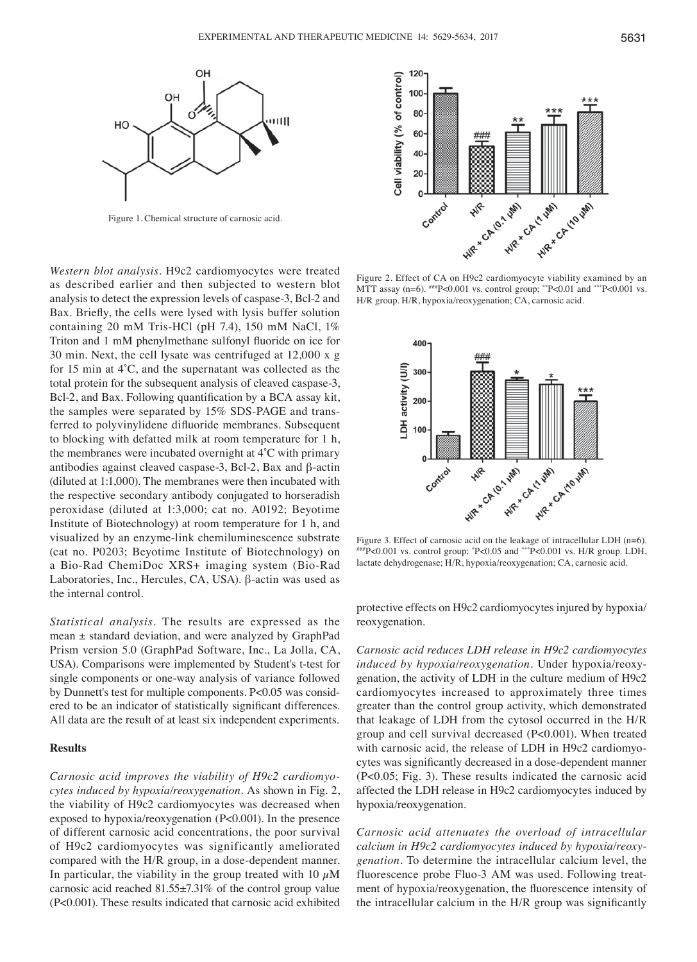

Figure 1. Chemical structure of carnosic acid.

*Western blot analysis.* H9c2 cardiomyocytes were treated as described earlier and then subjected to western blot analysis to detect the expression levels of caspase-3, Bcl-2 and Bax. Briefly, the cells were lysed with lysis buffer solution containing 20 mM Tris-HCl (pH 7.4), 150 mM NaCl, 1% Triton and 1 mM phenylmethane sulfonyl fluoride on ice for 30 min. Next, the cell lysate was centrifuged at 12,000 x g for 15 min at 4˚C, and the supernatant was collected as the total protein for the subsequent analysis of cleaved caspase-3, Bcl-2, and Bax. Following quantification by a BCA assay kit, the samples were separated by 15% SDS-PAGE and transferred to polyvinylidene difluoride membranes. Subsequent to blocking with defatted milk at room temperature for 1 h, the membranes were incubated overnight at 4˚C with primary antibodies against cleaved caspase-3, Bcl-2, Bax and β-actin (diluted at 1:1,000). The membranes were then incubated with the respective secondary antibody conjugated to horseradish peroxidase (diluted at 1:3,000; cat no. A0192; Beyotime Institute of Biotechnology) at room temperature for 1 h, and visualized by an enzyme-link chemiluminescence substrate (cat no. P0203; Beyotime Institute of Biotechnology) on a Bio-Rad ChemiDoc XRS+ imaging system (Bio-Rad Laboratories, Inc., Hercules, CA, USA). β-actin was used as the internal control.

*Statistical analysis.* The results are expressed as the mean ± standard deviation, and were analyzed by GraphPad Prism version 5.0 (GraphPad Software, Inc., La Jolla, CA, USA). Comparisons were implemented by Student's t-test for single components or one-way analysis of variance followed by Dunnett's test for multiple components. P<0.05 was considered to be an indicator of statistically significant differences. All data are the result of at least six independent experiments.

## **Results**

*Carnosic acid improves the viability of H9c2 cardiomyo‑ cytes induced by hypoxia/reoxygenation.* As shown in Fig. 2, the viability of H9c2 cardiomyocytes was decreased when exposed to hypoxia/reoxygenation (P<0.001). In the presence of different carnosic acid concentrations, the poor survival of H9c2 cardiomyocytes was significantly ameliorated compared with the H/R group, in a dose-dependent manner. In particular, the viability in the group treated with 10  $\mu$ M carnosic acid reached 81.55±7.31% of the control group value (P<0.001). These results indicated that carnosic acid exhibited



Figure 2. Effect of CA on H9c2 cardiomyocyte viability examined by an MTT assay (n=6).  $^{#H}P<0.001$  vs. control group;  $^{*}P<0.01$  and  $^{**}P<0.001$  vs. H/R group. H/R, hypoxia/reoxygenation; CA, carnosic acid.



Figure 3. Effect of carnosic acid on the leakage of intracellular LDH (n=6). ###P<0.001 vs. control group; \* P<0.05 and \*\*\*P<0.001 vs. H/R group. LDH, lactate dehydrogenase; H/R, hypoxia/reoxygenation; CA, carnosic acid.

protective effects on H9c2 cardiomyocytes injured by hypoxia/ reoxygenation.

*Carnosic acid reduces LDH release in H9c2 cardiomyocytes induced by hypoxia/reoxygenation.* Under hypoxia/reoxygenation, the activity of LDH in the culture medium of H9c2 cardiomyocytes increased to approximately three times greater than the control group activity, which demonstrated that leakage of LDH from the cytosol occurred in the H/R group and cell survival decreased (P<0.001). When treated with carnosic acid, the release of LDH in H9c2 cardiomyocytes was significantly decreased in a dose‑dependent manner (P<0.05; Fig. 3). These results indicated the carnosic acid affected the LDH release in H9c2 cardiomyocytes induced by hypoxia/reoxygenation.

*Carnosic acid attenuates the overload of intracellular calcium in H9c2 cardiomyocytes induced by hypoxia/reoxy‑ genation.* To determine the intracellular calcium level, the fluorescence probe Fluo-3 AM was used. Following treatment of hypoxia/reoxygenation, the fluorescence intensity of the intracellular calcium in the H/R group was significantly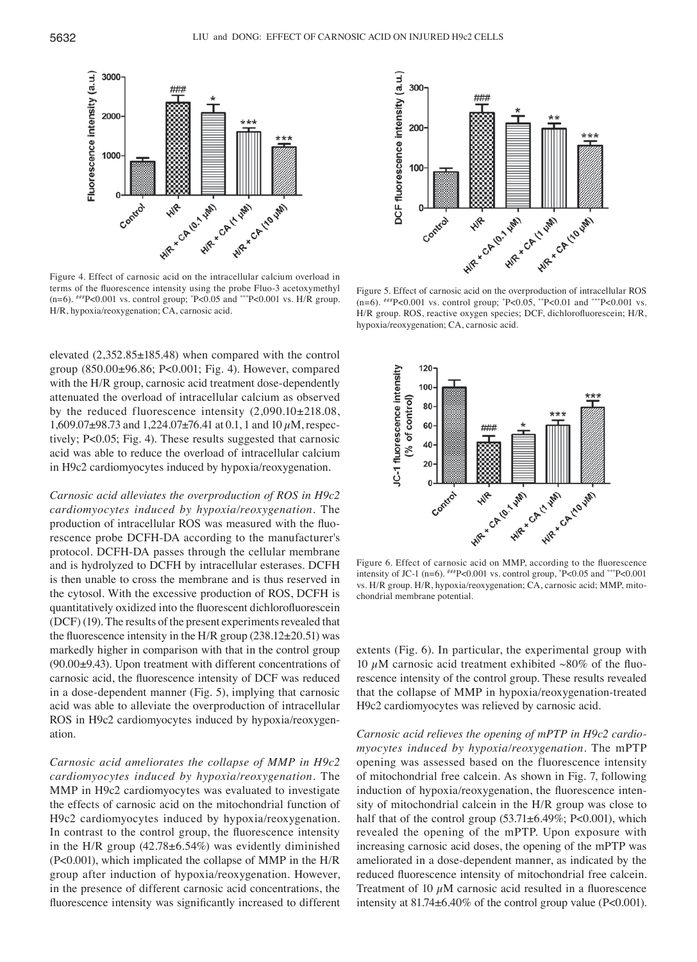

terms of the fluorescence intensity using the probe Fluo-3 acetoxymethyl (n=6). ###P<0.001 vs. control group; \* P<0.05 and \*\*\*P<0.001 vs. H/R group. H/R, hypoxia/reoxygenation; CA, carnosic acid.

elevated (2,352.85±185.48) when compared with the control group (850.00±96.86; P<0.001; Fig. 4). However, compared with the H/R group, carnosic acid treatment dose-dependently attenuated the overload of intracellular calcium as observed by the reduced fluorescence intensity (2,090.10±218.08, 1,609.07 $\pm$ 98.73 and 1,224.07 $\pm$ 76.41 at 0.1, 1 and 10  $\mu$ M, respectively; P<0.05; Fig. 4). These results suggested that carnosic acid was able to reduce the overload of intracellular calcium in H9c2 cardiomyocytes induced by hypoxia/reoxygenation.

*Carnosic acid alleviates the overproduction of ROS in H9c2 cardiomyocytes induced by hypoxia/reoxygenation.* The production of intracellular ROS was measured with the fluorescence probe DCFH-DA according to the manufacturer's protocol. DCFH-DA passes through the cellular membrane and is hydrolyzed to DCFH by intracellular esterases. DCFH is then unable to cross the membrane and is thus reserved in the cytosol. With the excessive production of ROS, DCFH is quantitatively oxidized into the fluorescent dichlorofluorescein (DCF) (19). The results of the present experiments revealed that the fluorescence intensity in the H/R group  $(238.12 \pm 20.51)$  was markedly higher in comparison with that in the control group (90.00±9.43). Upon treatment with different concentrations of carnosic acid, the fluorescence intensity of DCF was reduced in a dose-dependent manner (Fig. 5), implying that carnosic acid was able to alleviate the overproduction of intracellular ROS in H9c2 cardiomyocytes induced by hypoxia/reoxygenation.

*Carnosic acid ameliorates the collapse of MMP in H9c2 cardiomyocytes induced by hypoxia/reoxygenation.* The MMP in H9c2 cardiomyocytes was evaluated to investigate the effects of carnosic acid on the mitochondrial function of H9c2 cardiomyocytes induced by hypoxia/reoxygenation. In contrast to the control group, the fluorescence intensity in the H/R group  $(42.78 \pm 6.54\%)$  was evidently diminished (P<0.001), which implicated the collapse of MMP in the H/R group after induction of hypoxia/reoxygenation. However, in the presence of different carnosic acid concentrations, the fluorescence intensity was significantly increased to different



Figure 5. Effect of carnosic acid on the overproduction of intracellular ROS (n=6). ###P<0.001 vs. control group; \* P<0.05, \*\*P<0.01 and \*\*\*P<0.001 vs. H/R group. ROS, reactive oxygen species; DCF, dichlorofluorescein; H/R, hypoxia/reoxygenation; CA, carnosic acid.



Figure 6. Effect of carnosic acid on MMP, according to the fluorescence intensity of JC-1 (n=6).  $^{#H}P<0.001$  vs. control group,  $^{*}P<0.05$  and  $^{**}P<0.001$ vs. H/R group. H/R, hypoxia/reoxygenation; CA, carnosic acid; MMP, mitochondrial membrane potential.

extents (Fig. 6). In particular, the experimental group with 10  $\mu$ M carnosic acid treatment exhibited ~80% of the fluorescence intensity of the control group. These results revealed that the collapse of MMP in hypoxia/reoxygenation-treated H9c2 cardiomyocytes was relieved by carnosic acid.

*Carnosic acid relieves the opening of mPTP in H9c2 cardio‑ myocytes induced by hypoxia/reoxygenation.* The mPTP opening was assessed based on the fluorescence intensity of mitochondrial free calcein. As shown in Fig. 7, following induction of hypoxia/reoxygenation, the fluorescence intensity of mitochondrial calcein in the H/R group was close to half that of the control group  $(53.71 \pm 6.49\%; P<0.001)$ , which revealed the opening of the mPTP. Upon exposure with increasing carnosic acid doses, the opening of the mPTP was ameliorated in a dose-dependent manner, as indicated by the reduced fluorescence intensity of mitochondrial free calcein. Treatment of 10  $\mu$ M carnosic acid resulted in a fluorescence intensity at 81.74±6.40% of the control group value (P<0.001).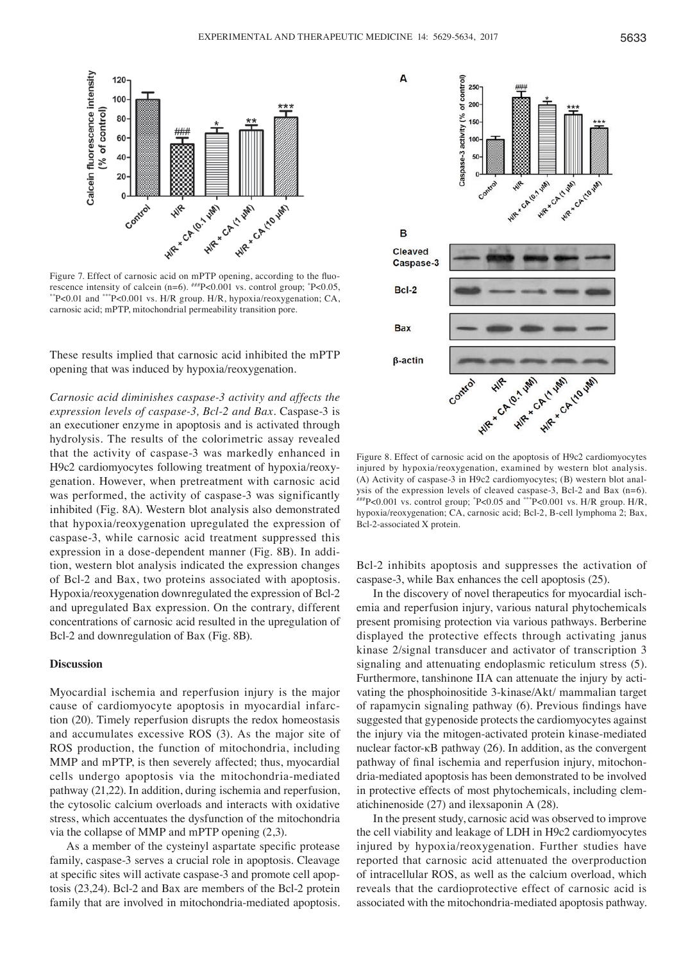

rescence intensity of calcein (n=6).  $^{##}P<0.001$  vs. control group;  $^{*}P<0.05$ , P<0.05, \*\*P<0.01 and \*\*\*P<0.001 vs. H/R group. H/R, hypoxia/reoxygenation; CA, carnosic acid; mPTP, mitochondrial permeability transition pore.

These results implied that carnosic acid inhibited the mPTP opening that was induced by hypoxia/reoxygenation.

*Carnosic acid diminishes caspase‑3 activity and affects the expression levels of caspase‑3, Bcl‑2 and Bax.* Caspase-3 is an executioner enzyme in apoptosis and is activated through hydrolysis. The results of the colorimetric assay revealed that the activity of caspase-3 was markedly enhanced in H9c2 cardiomyocytes following treatment of hypoxia/reoxygenation. However, when pretreatment with carnosic acid was performed, the activity of caspase-3 was significantly inhibited (Fig. 8A). Western blot analysis also demonstrated that hypoxia/reoxygenation upregulated the expression of caspase-3, while carnosic acid treatment suppressed this expression in a dose-dependent manner (Fig. 8B). In addition, western blot analysis indicated the expression changes of Bcl-2 and Bax, two proteins associated with apoptosis. Hypoxia/reoxygenation downregulated the expression of Bcl-2 and upregulated Bax expression. On the contrary, different concentrations of carnosic acid resulted in the upregulation of Bcl-2 and downregulation of Bax (Fig. 8B).

## **Discussion**

Myocardial ischemia and reperfusion injury is the major cause of cardiomyocyte apoptosis in myocardial infarction (20). Timely reperfusion disrupts the redox homeostasis and accumulates excessive ROS (3). As the major site of ROS production, the function of mitochondria, including MMP and mPTP, is then severely affected; thus, myocardial cells undergo apoptosis via the mitochondria-mediated pathway (21,22). In addition, during ischemia and reperfusion, the cytosolic calcium overloads and interacts with oxidative stress, which accentuates the dysfunction of the mitochondria via the collapse of MMP and mPTP opening (2,3).

As a member of the cysteinyl aspartate specific protease family, caspase-3 serves a crucial role in apoptosis. Cleavage at specific sites will activate caspase‑3 and promote cell apoptosis (23,24). Bcl-2 and Bax are members of the Bcl-2 protein family that are involved in mitochondria-mediated apoptosis.



Figure 8. Effect of carnosic acid on the apoptosis of H9c2 cardiomyocytes injured by hypoxia/reoxygenation, examined by western blot analysis. (A) Activity of caspase-3 in H9c2 cardiomyocytes; (B) western blot anal-<br>ysis of the expression levels of cleaved caspase-3, Bcl-2 and Bax  $(n=6)$ . ysis of the expression levels of cleaved caspase-3, Bcl-2 and Bax (n=6).  $\frac{40}{100}$  ws. expression levels of cleaved caspase-3, Bcl-2 and Bax (n=6). hypoxia/reoxygenation; CA, carnosic acid; Bcl-2, B-cell lymphoma 2; Bax, Bcl-2-associated X protein.

Bcl-2 inhibits apoptosis and suppresses the activation of caspase-3, while Bax enhances the cell apoptosis (25).

In the discovery of novel therapeutics for myocardial ischemia and reperfusion injury, various natural phytochemicals present promising protection via various pathways. Berberine displayed the protective effects through activating janus kinase 2/signal transducer and activator of transcription 3 signaling and attenuating endoplasmic reticulum stress (5). Furthermore, tanshinone IIA can attenuate the injury by activating the phosphoinositide 3-kinase/Akt/ mammalian target of rapamycin signaling pathway (6). Previous findings have suggested that gypenoside protects the cardiomyocytes against the injury via the mitogen-activated protein kinase-mediated nuclear factor-κB pathway (26). In addition, as the convergent pathway of final ischemia and reperfusion injury, mitochondria-mediated apoptosis has been demonstrated to be involved in protective effects of most phytochemicals, including clematichinenoside (27) and ilexsaponin A (28).

In the present study, carnosic acid was observed to improve the cell viability and leakage of LDH in H9c2 cardiomyocytes injured by hypoxia/reoxygenation. Further studies have reported that carnosic acid attenuated the overproduction of intracellular ROS, as well as the calcium overload, which reveals that the cardioprotective effect of carnosic acid is associated with the mitochondria-mediated apoptosis pathway.